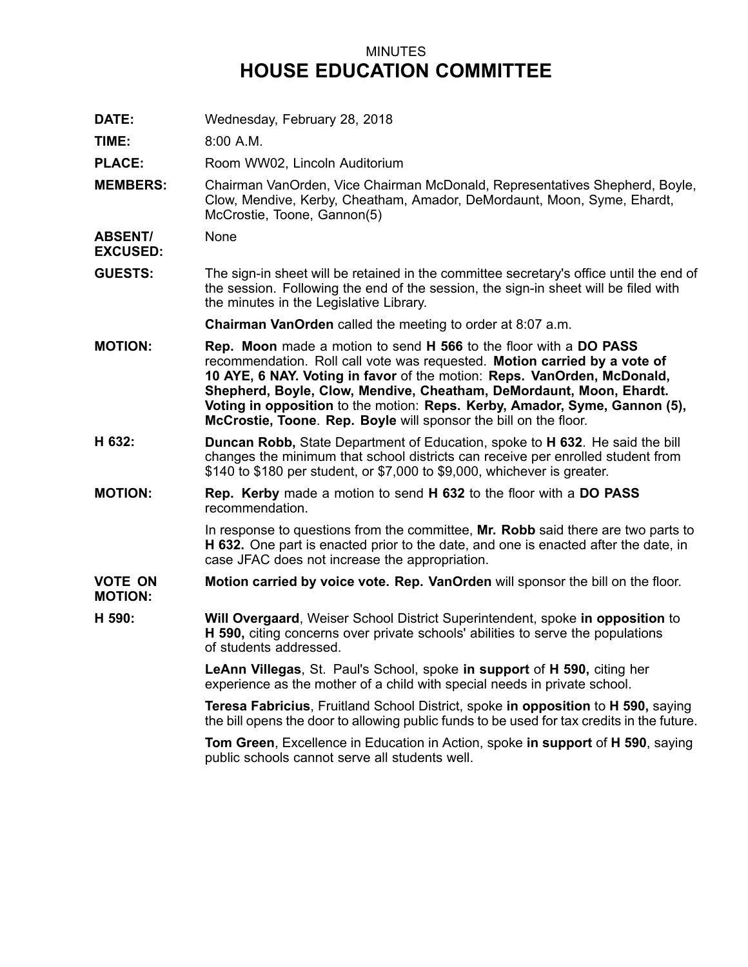## MINUTES **HOUSE EDUCATION COMMITTEE**

**DATE:** Wednesday, February 28, 2018

**TIME:** 8:00 A.M.

PLACE: Room WW02, Lincoln Auditorium

**MEMBERS:** Chairman VanOrden, Vice Chairman McDonald, Representatives Shepherd, Boyle, Clow, Mendive, Kerby, Cheatham, Amador, DeMordaunt, Moon, Syme, Ehardt, McCrostie, Toone, Gannon(5)

**ABSENT/ EXCUSED:** None

**GUESTS:** The sign-in sheet will be retained in the committee secretary's office until the end of the session. Following the end of the session, the sign-in sheet will be filed with the minutes in the Legislative Library.

**Chairman VanOrden** called the meeting to order at 8:07 a.m.

- **MOTION: Rep. Moon** made <sup>a</sup> motion to send **H 566** to the floor with <sup>a</sup> **DO PASS** recommendation. Roll call vote was requested. **Motion carried by <sup>a</sup> vote of 10 AYE, 6 NAY. Voting in favor** of the motion: **Reps. VanOrden, McDonald, Shepherd, Boyle, Clow, Mendive, Cheatham, DeMordaunt, Moon, Ehardt. Voting in opposition** to the motion: **Reps. Kerby, Amador, Syme, Gannon (5), McCrostie, Toone**. **Rep. Boyle** will sponsor the bill on the floor.
- **H 632: Duncan Robb,** State Department of Education, spoke to **H 632**. He said the bill changes the minimum that school districts can receive per enrolled student from \$140 to \$180 per student, or \$7,000 to \$9,000, whichever is greater.
- **MOTION: Rep. Kerby** made <sup>a</sup> motion to send **H 632** to the floor with <sup>a</sup> **DO PASS** recommendation.

In response to questions from the committee, **Mr. Robb** said there are two parts to **H 632.** One part is enacted prior to the date, and one is enacted after the date, in case JFAC does not increase the appropriation.

- **VOTE ON MOTION: Motion carried by voice vote. Rep. VanOrden** will sponsor the bill on the floor.
- **H 590: Will Overgaard**, Weiser School District Superintendent, spoke **in opposition** to **H 590,** citing concerns over private schools' abilities to serve the populations of students addressed.

**LeAnn Villegas**, St. Paul's School, spoke **in support** of **H 590,** citing her experience as the mother of <sup>a</sup> child with special needs in private school.

**Teresa Fabricius**, Fruitland School District, spoke **in opposition** to **H 590,** saying the bill opens the door to allowing public funds to be used for tax credits in the future.

**Tom Green**, Excellence in Education in Action, spoke **in support** of **H 590**, saying public schools cannot serve all students well.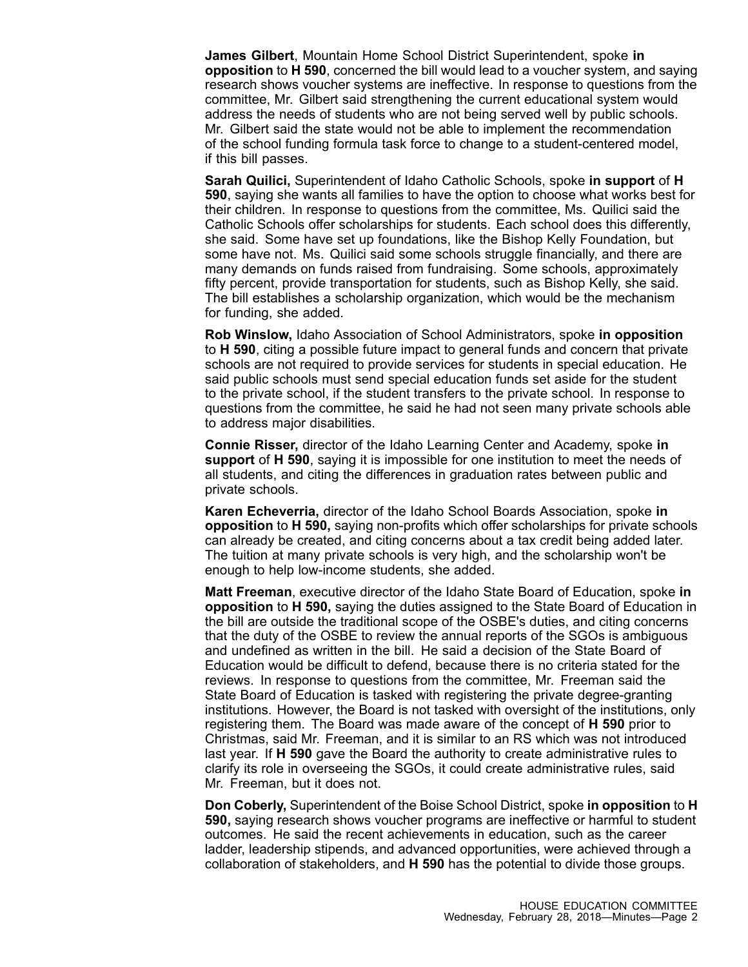**James Gilbert**, Mountain Home School District Superintendent, spoke **in opposition** to **H 590**, concerned the bill would lead to <sup>a</sup> voucher system, and saying research shows voucher systems are ineffective. In response to questions from the committee, Mr. Gilbert said strengthening the current educational system would address the needs of students who are not being served well by public schools. Mr. Gilbert said the state would not be able to implement the recommendation of the school funding formula task force to change to <sup>a</sup> student-centered model, if this bill passes.

**Sarah Quilici,** Superintendent of Idaho Catholic Schools, spoke **in support** of **H 590**, saying she wants all families to have the option to choose what works best for their children. In response to questions from the committee, Ms. Quilici said the Catholic Schools offer scholarships for students. Each school does this differently, she said. Some have set up foundations, like the Bishop Kelly Foundation, but some have not. Ms. Quilici said some schools struggle financially, and there are many demands on funds raised from fundraising. Some schools, approximately fifty percent, provide transportation for students, such as Bishop Kelly, she said. The bill establishes <sup>a</sup> scholarship organization, which would be the mechanism for funding, she added.

**Rob Winslow,** Idaho Association of School Administrators, spoke **in opposition** to **H 590**, citing <sup>a</sup> possible future impact to general funds and concern that private schools are not required to provide services for students in special education. He said public schools must send special education funds set aside for the student to the private school, if the student transfers to the private school. In response to questions from the committee, he said he had not seen many private schools able to address major disabilities.

**Connie Risser,** director of the Idaho Learning Center and Academy, spoke **in support** of **H 590**, saying it is impossible for one institution to meet the needs of all students, and citing the differences in graduation rates between public and private schools.

**Karen Echeverria,** director of the Idaho School Boards Association, spoke **in opposition** to **H 590,** saying non-profits which offer scholarships for private schools can already be created, and citing concerns about <sup>a</sup> tax credit being added later. The tuition at many private schools is very high, and the scholarship won't be enough to help low-income students, she added.

**Matt Freeman**, executive director of the Idaho State Board of Education, spoke **in opposition** to **H 590,** saying the duties assigned to the State Board of Education in the bill are outside the traditional scope of the OSBE's duties, and citing concerns that the duty of the OSBE to review the annual reports of the SGOs is ambiguous and undefined as written in the bill. He said a decision of the State Board of Education would be difficult to defend, because there is no criteria stated for the reviews. In response to questions from the committee, Mr. Freeman said the State Board of Education is tasked with registering the private degree-granting institutions. However, the Board is not tasked with oversight of the institutions, only registering them. The Board was made aware of the concept of **H 590** prior to Christmas, said Mr. Freeman, and it is similar to an RS which was not introduced last year. If **H 590** gave the Board the authority to create administrative rules to clarify its role in overseeing the SGOs, it could create administrative rules, said Mr. Freeman, but it does not.

**Don Coberly,** Superintendent of the Boise School District, spoke **in opposition** to **H 590,** saying research shows voucher programs are ineffective or harmful to student outcomes. He said the recent achievements in education, such as the career ladder, leadership stipends, and advanced opportunities, were achieved through <sup>a</sup> collaboration of stakeholders, and **H 590** has the potential to divide those groups.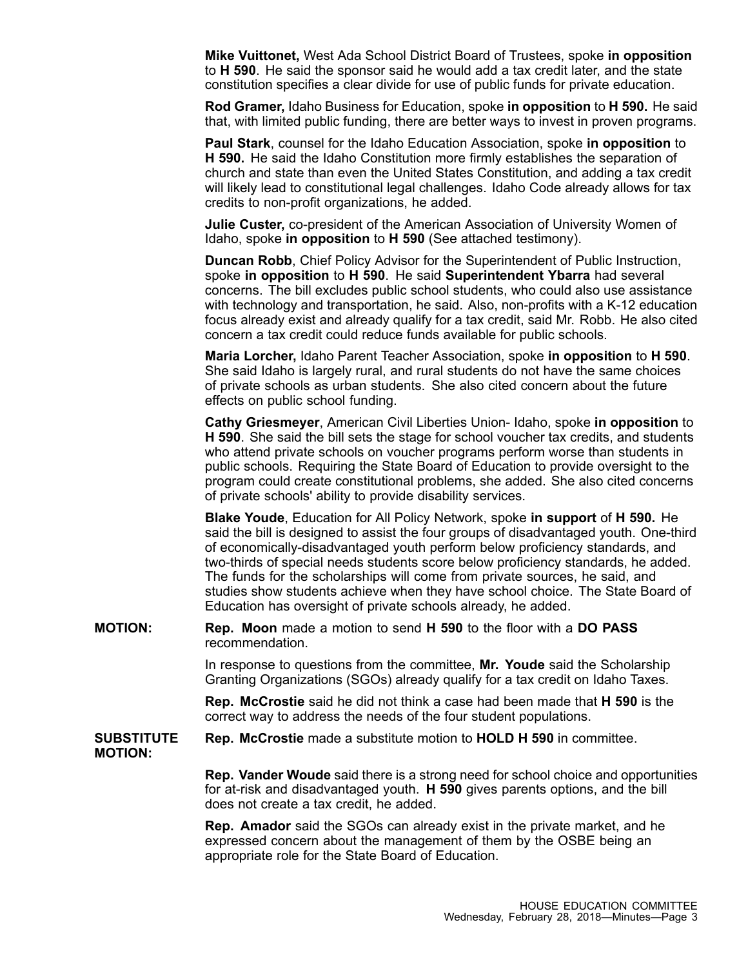**Mike Vuittonet,** West Ada School District Board of Trustees, spoke **in opposition** to **H 590**. He said the sponsor said he would add <sup>a</sup> tax credit later, and the state constitution specifies <sup>a</sup> clear divide for use of public funds for private education.

**Rod Gramer,** Idaho Business for Education, spoke **in opposition** to **H 590.** He said that, with limited public funding, there are better ways to invest in proven programs.

**Paul Stark**, counsel for the Idaho Education Association, spoke **in opposition** to **H 590.** He said the Idaho Constitution more firmly establishes the separation of church and state than even the United States Constitution, and adding <sup>a</sup> tax credit will likely lead to constitutional legal challenges. Idaho Code already allows for tax credits to non-profit organizations, he added.

**Julie Custer,** co-president of the American Association of University Women of Idaho, spoke **in opposition** to **H 590** (See attached testimony).

**Duncan Robb**, Chief Policy Advisor for the Superintendent of Public Instruction, spoke **in opposition** to **H 590**. He said **Superintendent Ybarra** had several concerns. The bill excludes public school students, who could also use assistance with technology and transportation, he said. Also, non-profits with <sup>a</sup> K-12 education focus already exist and already qualify for <sup>a</sup> tax credit, said Mr. Robb. He also cited concern <sup>a</sup> tax credit could reduce funds available for public schools.

**Maria Lorcher,** Idaho Parent Teacher Association, spoke **in opposition** to **H 590**. She said Idaho is largely rural, and rural students do not have the same choices of private schools as urban students. She also cited concern about the future effects on public school funding.

**Cathy Griesmeyer**, American Civil Liberties Union- Idaho, spoke **in opposition** to **H 590**. She said the bill sets the stage for school voucher tax credits, and students who attend private schools on voucher programs perform worse than students in public schools. Requiring the State Board of Education to provide oversight to the program could create constitutional problems, she added. She also cited concerns of private schools' ability to provide disability services.

**Blake Youde**, Education for All Policy Network, spoke **in support** of **H 590.** He said the bill is designed to assist the four groups of disadvantaged youth. One-third of economically-disadvantaged youth perform below proficiency standards, and two-thirds of special needs students score below proficiency standards, he added. The funds for the scholarships will come from private sources, he said, and studies show students achieve when they have school choice. The State Board of Education has oversight of private schools already, he added.

**MOTION: Rep. Moon** made <sup>a</sup> motion to send **H 590** to the floor with <sup>a</sup> **DO PASS** recommendation.

> In response to questions from the committee, **Mr. Youde** said the Scholarship Granting Organizations (SGOs) already qualify for <sup>a</sup> tax credit on Idaho Taxes.

> **Rep. McCrostie** said he did not think <sup>a</sup> case had been made that **H 590** is the correct way to address the needs of the four student populations.

**SUBSTITUTE Rep. McCrostie** made <sup>a</sup> substitute motion to **HOLD H 590** in committee.

**MOTION:**

**Rep. Vander Woude** said there is <sup>a</sup> strong need for school choice and opportunities for at-risk and disadvantaged youth. **H 590** gives parents options, and the bill does not create <sup>a</sup> tax credit, he added.

**Rep. Amador** said the SGOs can already exist in the private market, and he expressed concern about the management of them by the OSBE being an appropriate role for the State Board of Education.